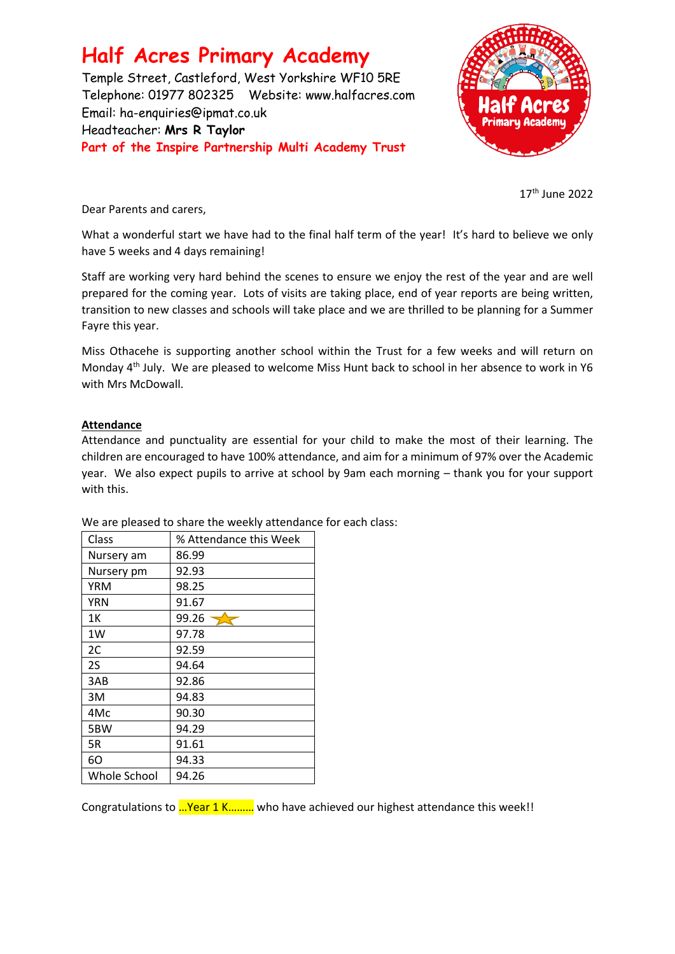# **Half Acres Primary Academy**

Temple Street, Castleford, West Yorkshire WF10 5RE Telephone: 01977 802325 Website: [www.halfacres.com](http://www.halfacres.com/) Email: ha-enquiries@ipmat.co.uk Headteacher: **Mrs R Taylor Part of the Inspire Partnership Multi Academy Trust**



17th June 2022

Dear Parents and carers,

What a wonderful start we have had to the final half term of the year! It's hard to believe we only have 5 weeks and 4 days remaining!

Staff are working very hard behind the scenes to ensure we enjoy the rest of the year and are well prepared for the coming year. Lots of visits are taking place, end of year reports are being written, transition to new classes and schools will take place and we are thrilled to be planning for a Summer Fayre this year.

Miss Othacehe is supporting another school within the Trust for a few weeks and will return on Monday 4<sup>th</sup> July. We are pleased to welcome Miss Hunt back to school in her absence to work in Y6 with Mrs McDowall.

### **Attendance**

Attendance and punctuality are essential for your child to make the most of their learning. The children are encouraged to have 100% attendance, and aim for a minimum of 97% over the Academic year. We also expect pupils to arrive at school by 9am each morning – thank you for your support with this.

| Class        | % Attendance this Week |
|--------------|------------------------|
| Nursery am   | 86.99                  |
| Nursery pm   | 92.93                  |
| YRM          | 98.25                  |
| <b>YRN</b>   | 91.67                  |
| 1Κ           | 99.26                  |
| 1W           | 97.78                  |
| 2C           | 92.59                  |
| 2S           | 94.64                  |
| 3AB          | 92.86                  |
| 3M           | 94.83                  |
| 4Mc          | 90.30                  |
| 5BW          | 94.29                  |
| 5R           | 91.61                  |
| 60           | 94.33                  |
| Whole School | 94.26                  |

We are pleased to share the weekly attendance for each class:

Congratulations to …Year 1 K……… who have achieved our highest attendance this week!!